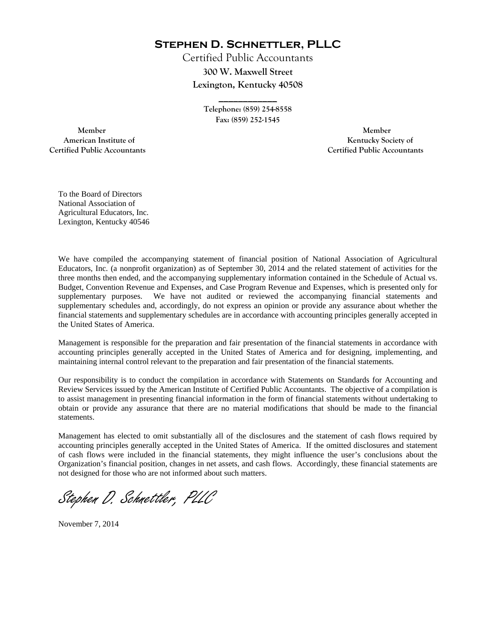**Stephen D. Schnettler, PLLC**

Certified Public Accountants **300 W. Maxwell Street Lexington, Kentucky 40508** 

> **Telephone: (859) 254-8558 Fax: (859) 252-1545**

**\_\_\_\_\_\_\_\_\_\_\_\_** 

 **Member Member Certified Public Accountants Certified Public Accountants** 

American Institute of **Kentucky Society of** 

To the Board of Directors National Association of Agricultural Educators, Inc. Lexington, Kentucky 40546

We have compiled the accompanying statement of financial position of National Association of Agricultural Educators, Inc. (a nonprofit organization) as of September 30, 2014 and the related statement of activities for the three months then ended, and the accompanying supplementary information contained in the Schedule of Actual vs. Budget, Convention Revenue and Expenses, and Case Program Revenue and Expenses, which is presented only for supplementary purposes. We have not audited or reviewed the accompanying financial statements and supplementary schedules and, accordingly, do not express an opinion or provide any assurance about whether the financial statements and supplementary schedules are in accordance with accounting principles generally accepted in the United States of America.

Management is responsible for the preparation and fair presentation of the financial statements in accordance with accounting principles generally accepted in the United States of America and for designing, implementing, and maintaining internal control relevant to the preparation and fair presentation of the financial statements.

Our responsibility is to conduct the compilation in accordance with Statements on Standards for Accounting and Review Services issued by the American Institute of Certified Public Accountants. The objective of a compilation is to assist management in presenting financial information in the form of financial statements without undertaking to obtain or provide any assurance that there are no material modifications that should be made to the financial statements.

Management has elected to omit substantially all of the disclosures and the statement of cash flows required by accounting principles generally accepted in the United States of America. If the omitted disclosures and statement of cash flows were included in the financial statements, they might influence the user's conclusions about the Organization's financial position, changes in net assets, and cash flows. Accordingly, these financial statements are not designed for those who are not informed about such matters.

Stephen D. Schnettler, PLLC

November 7, 2014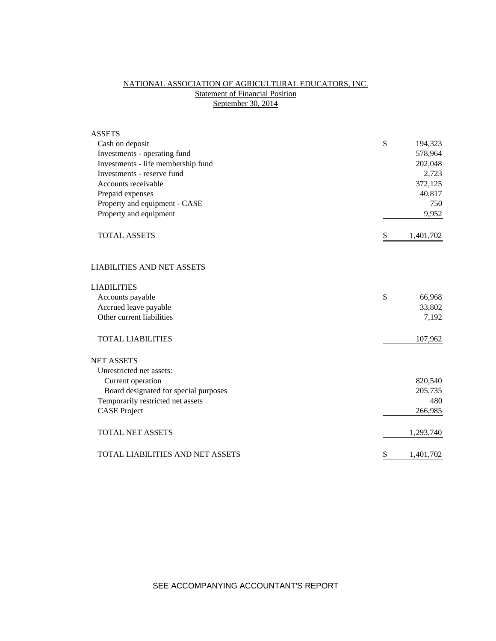# NATIONAL ASSOCIATION OF AGRICULTURAL EDUCATORS, INC. **Statement of Financial Position** September 30, 2014

| <b>ASSETS</b>                           |                 |
|-----------------------------------------|-----------------|
| Cash on deposit                         | \$<br>194,323   |
| Investments - operating fund            | 578,964         |
| Investments - life membership fund      | 202,048         |
| Investments - reserve fund              | 2,723           |
| Accounts receivable                     | 372,125         |
| Prepaid expenses                        | 40,817          |
| Property and equipment - CASE           | 750             |
| Property and equipment                  | 9,952           |
| <b>TOTAL ASSETS</b>                     | \$<br>1,401,702 |
| <b>LIABILITIES AND NET ASSETS</b>       |                 |
| <b>LIABILITIES</b>                      |                 |
| Accounts payable                        | \$<br>66,968    |
| Accrued leave payable                   | 33,802          |
| Other current liabilities               | 7,192           |
| <b>TOTAL LIABILITIES</b>                | 107,962         |
| <b>NET ASSETS</b>                       |                 |
| Unrestricted net assets:                |                 |
| Current operation                       | 820,540         |
| Board designated for special purposes   | 205,735         |
| Temporarily restricted net assets       | 480             |
| <b>CASE Project</b>                     | 266,985         |
| <b>TOTAL NET ASSETS</b>                 | 1,293,740       |
| <b>TOTAL LIABILITIES AND NET ASSETS</b> | \$<br>1,401,702 |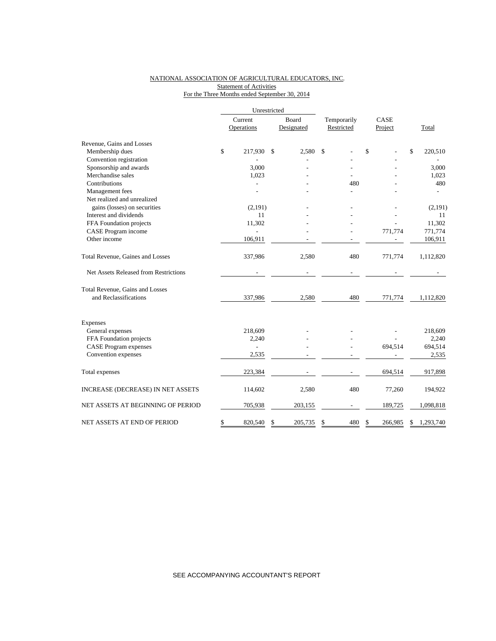### NATIONAL ASSOCIATION OF AGRICULTURAL EDUCATORS, INC. **Statement of Activities** For the Three Months ended September 30, 2014

|                                       | Unrestricted          |                     |                           |                 |                 |
|---------------------------------------|-----------------------|---------------------|---------------------------|-----------------|-----------------|
|                                       | Current<br>Operations | Board<br>Designated | Temporarily<br>Restricted | CASE<br>Project | Total           |
| Revenue, Gains and Losses             |                       |                     |                           |                 |                 |
| Membership dues                       | \$<br>217,930         | \$<br>2.580         | \$                        | \$              | \$<br>220,510   |
| Convention registration               |                       |                     |                           |                 |                 |
| Sponsorship and awards                | 3.000                 |                     |                           |                 | 3,000           |
| Merchandise sales                     | 1,023                 |                     |                           |                 | 1,023           |
| Contributions                         |                       |                     | 480                       |                 | 480             |
| Management fees                       |                       |                     |                           |                 |                 |
| Net realized and unrealized           |                       |                     |                           |                 |                 |
| gains (losses) on securities          | (2,191)               |                     |                           |                 | (2,191)         |
| Interest and dividends                | 11                    |                     |                           |                 | 11              |
| FFA Foundation projects               | 11,302                |                     |                           |                 | 11,302          |
| CASE Program income                   |                       |                     |                           | 771,774         | 771,774         |
| Other income                          | 106,911               |                     |                           |                 | 106,911         |
| Total Revenue, Gaines and Losses      | 337,986               | 2,580               | 480                       | 771,774         | 1,112,820       |
| Net Assets Released from Restrictions |                       |                     |                           |                 |                 |
| Total Revenue, Gains and Losses       |                       |                     |                           |                 |                 |
| and Reclassifications                 | 337,986               | 2,580               | 480                       | 771,774         | 1,112,820       |
| <b>Expenses</b>                       |                       |                     |                           |                 |                 |
| General expenses                      | 218,609               |                     |                           |                 | 218,609         |
| FFA Foundation projects               | 2,240                 |                     |                           |                 | 2,240           |
| <b>CASE</b> Program expenses          | $\overline{a}$        |                     |                           | 694,514         | 694,514         |
| Convention expenses                   | 2,535                 |                     |                           |                 | 2,535           |
| Total expenses                        | 223,384               |                     |                           | 694,514         | 917,898         |
| INCREASE (DECREASE) IN NET ASSETS     | 114,602               | 2,580               | 480                       | 77,260          | 194,922         |
| NET ASSETS AT BEGINNING OF PERIOD     | 705,938               | 203,155             |                           | 189,725         | 1,098,818       |
| NET ASSETS AT END OF PERIOD           | \$<br>820,540         | \$<br>205,735       | \$<br>480                 | \$<br>266,985   | \$<br>1,293,740 |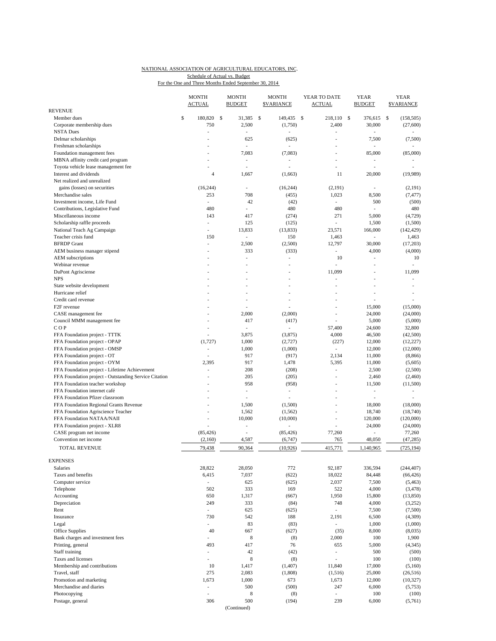### NATIONAL ASSOCIATION OF AGRICULTURAL EDUCATORS, INC. For the One and Three Months Ended September 30, 2014 Schedule of Actual vs. Budget

| <b>REVENUE</b>                                                                                         | <b>MONTH</b><br><b>ACTUAL</b> |               | <b>MONTH</b><br><b>BUDGET</b> | <b>MONTH</b><br><b>SVARIANCE</b> | YEAR TO DATE<br>ACTUAL   | <b>YEAR</b><br><b>BUDGET</b> | <b>YEAR</b><br><b>SVARIANCE</b> |
|--------------------------------------------------------------------------------------------------------|-------------------------------|---------------|-------------------------------|----------------------------------|--------------------------|------------------------------|---------------------------------|
| Member dues                                                                                            | \$<br>180,820                 | <sup>\$</sup> | 31,385                        | \$<br>149,435                    | \$<br>218,110            | \$<br>376,615                | (158, 505)<br>\$                |
| Corporate membership dues                                                                              | 750                           |               | 2,500                         | (1,750)                          | 2,400                    | 30,000                       | (27,600)                        |
| <b>NSTA Dues</b>                                                                                       | ÷,                            |               | ÷                             | L                                | L.                       | ä,                           |                                 |
| Delmar scholarships                                                                                    |                               |               | 625                           | (625)                            | Ĭ.                       | 7,500                        | (7,500)                         |
| Freshman scholarships                                                                                  |                               |               |                               |                                  |                          |                              |                                 |
| Foundation management fees                                                                             |                               |               | 7,083                         | (7,083)                          | L,                       | 85,000                       | (85,000)                        |
| MBNA affinity credit card program                                                                      |                               |               | $\overline{a}$                |                                  | $\overline{a}$           | ÷,                           |                                 |
| Toyota vehicle lease management fee                                                                    |                               |               |                               |                                  | Ĭ.                       |                              |                                 |
| Interest and dividends                                                                                 |                               | 4             | 1,667                         | (1,663)                          | 11                       | 20,000                       | (19,989)                        |
| Net realized and unrealized                                                                            |                               |               |                               |                                  |                          |                              |                                 |
| gains (losses) on securities                                                                           | (16, 244)                     |               | ÷,                            | (16, 244)                        | (2,191)                  | ä,                           | (2,191)                         |
| Merchandise sales                                                                                      | 253                           |               | 708                           | (455)                            | 1,023                    | 8,500                        | (7, 477)                        |
| Investment income, Life Fund                                                                           | $\overline{\phantom{a}}$      |               | 42                            | (42)                             | ÷.                       | 500                          | (500)                           |
| Contributions, Legislative Fund                                                                        | 480<br>143                    |               | ٠<br>417                      | 480                              | 480<br>271               | Ĭ.<br>5,000                  | 480<br>(4, 729)                 |
| Miscellaneous income<br>Scholarship raffle proceeds                                                    | $\overline{\phantom{a}}$      |               | 125                           | (274)<br>(125)                   | ÷,                       | 1,500                        | (1,500)                         |
| National Teach Ag Campaign                                                                             | $\overline{a}$                |               | 13,833                        | (13, 833)                        | 23,571                   | 166,000                      | (142, 429)                      |
| Teacher crisis fund                                                                                    | 150                           |               | $\overline{\phantom{a}}$      | 150                              | 1,463                    | $\frac{1}{2}$                | 1,463                           |
| <b>BFRDP</b> Grant                                                                                     | ÷,                            |               | 2,500                         | (2,500)                          | 12,797                   | 30,000                       | (17,203)                        |
| AEM business manager stipend                                                                           |                               |               | 333                           | (333)                            | $\overline{a}$           | 4,000                        | (4,000)                         |
| AEM subscriptions                                                                                      |                               |               |                               | i,                               | 10                       | ä,                           | 10                              |
| Webinar revenue                                                                                        |                               |               |                               | $\overline{a}$                   | Ĭ.                       | J.                           | ٠                               |
| DuPont Agrisciense                                                                                     |                               |               |                               | ٠                                | 11,099                   | L,                           | 11,099                          |
| <b>NPS</b>                                                                                             |                               |               |                               |                                  | L,                       |                              | ÷,                              |
| State website development                                                                              |                               |               |                               |                                  | L,                       | L,                           | $\overline{a}$                  |
| Hurricane relief                                                                                       |                               |               |                               |                                  |                          |                              |                                 |
| Credit card revenue                                                                                    |                               |               |                               | $\overline{a}$                   | L,                       |                              |                                 |
| F <sub>2F</sub> revenue                                                                                |                               |               |                               |                                  | $\overline{a}$           | 15,000                       | (15,000)                        |
| CASE management fee                                                                                    |                               |               | 2,000                         | (2,000)                          | L,                       | 24,000                       | (24,000)                        |
| Council MMM management fee                                                                             |                               |               | 417                           | (417)                            |                          | 5,000                        | (5,000)                         |
| COP                                                                                                    | $\overline{a}$                |               | ÷.                            |                                  | 57,400                   | 24,600                       | 32,800                          |
| FFA Foundation project - TTTK                                                                          |                               |               | 3,875                         | (3,875)                          | 4,000                    | 46,500                       | (42,500)                        |
| FFA Foundation project - OPAP                                                                          | (1, 727)                      |               | 1,000                         | (2,727)                          | (227)                    | 12,000                       | (12, 227)                       |
| FFA Foundation project - OMSP                                                                          | $\overline{a}$                |               | 1,000                         | (1,000)                          | $\overline{\phantom{a}}$ | 12,000                       | (12,000)                        |
| FFA Foundation project - OT                                                                            | ÷,                            |               | 917                           | (917)                            | 2,134                    | 11,000                       | (8, 866)                        |
| FFA Foundation project - OYM                                                                           | 2,395<br>L,                   |               | 917<br>208                    | 1,478                            | 5,395<br>÷,              | 11,000<br>2,500              | (5,605)                         |
| FFA Foundation project - Lifetime Achievement<br>FFA Foundation project - Outstanding Service Citation |                               |               | 205                           | (208)<br>(205)                   |                          | 2,460                        | (2,500)<br>(2,460)              |
| FFA Foundation teacher workshop                                                                        | $\overline{a}$                |               | 958                           | (958)                            | L,                       | 11,500                       | (11,500)                        |
| FFA Foundation internet café                                                                           |                               |               | $\overline{\phantom{a}}$      | ٠                                | $\overline{a}$           | $\overline{a}$               | $\overline{\phantom{a}}$        |
| FFA Foundation Pfizer classroom                                                                        |                               |               | ä,                            | L.                               | L,                       | L,                           |                                 |
| FFA Foundation Regional Grants Revenue                                                                 |                               |               | 1,500                         | (1,500)                          |                          | 18,000                       | (18,000)                        |
| FFA Foundation Agriscience Teacher                                                                     | $\overline{a}$                |               | 1,562                         | (1, 562)                         | $\overline{a}$           | 18,740                       | (18,740)                        |
| FFA Foundation NATAA/NAII                                                                              |                               |               | 10,000                        | (10,000)                         | $\overline{a}$           | 120,000                      | (120,000)                       |
| FFA Foundation project - XLR8                                                                          |                               |               | ÷,                            |                                  | $\overline{a}$           | 24,000                       | (24,000)                        |
| CASE program net income                                                                                | (85, 426)                     |               | ÷,                            | (85, 426)                        | 77,260                   |                              | 77,260                          |
| Convention net income                                                                                  | (2,160)                       |               | 4,587                         | (6,747)                          | 765                      | 48,050                       | (47, 285)                       |
| TOTAL REVENUE                                                                                          | 79,438                        |               | 90,364                        | (10, 926)                        | 415,771                  | 1,140,965                    | (725, 194)                      |
|                                                                                                        |                               |               |                               |                                  |                          |                              |                                 |
| <b>EXPENSES</b>                                                                                        |                               |               |                               |                                  |                          |                              |                                 |
| Salaries                                                                                               | 28,822                        |               | 28,050                        | 772                              | 92,187                   | 336,594                      | (244, 407)                      |
| Taxes and benefits                                                                                     | 6,415                         |               | 7,037                         | (622)                            | 18,022                   | 84,448                       | (66, 426)                       |
| Computer service                                                                                       | $\overline{\phantom{a}}$      |               | 625                           | (625)                            | 2,037                    | 7,500                        | (5, 463)                        |
| Telephone                                                                                              | 502                           |               | 333                           | 169                              | 522                      | 4,000                        | (3, 478)                        |
| Accounting<br>Depreciation                                                                             | 650<br>249                    |               | 1,317<br>333                  | (667)<br>(84)                    | 1,950<br>748             | 15,800<br>4,000              | (13, 850)                       |
| Rent                                                                                                   | $\overline{\phantom{a}}$      |               | 625                           | (625)                            | $\overline{\phantom{a}}$ | 7,500                        | (3,252)<br>(7,500)              |
| Insurance                                                                                              | 730                           |               | 542                           | 188                              | 2,191                    | 6,500                        | (4,309)                         |
| Legal                                                                                                  | ÷,                            |               | 83                            | (83)                             | $\overline{\phantom{a}}$ | 1,000                        | (1,000)                         |
| Office Supplies                                                                                        | 40                            |               | 667                           | (627)                            | (35)                     | 8,000                        | (8,035)                         |
| Bank charges and investment fees                                                                       | $\overline{a}$                |               | 8                             | (8)                              | 2,000                    | 100                          | 1,900                           |
| Printing, general                                                                                      | 493                           |               | 417                           | 76                               | 655                      | 5,000                        | (4,345)                         |
| Staff training                                                                                         | ÷,                            |               | 42                            | (42)                             | $\overline{a}$           | 500                          | (500)                           |
| Taxes and licenses                                                                                     | $\overline{\phantom{a}}$      |               | $\,$ 8 $\,$                   | (8)                              | $\overline{a}$           | 100                          | (100)                           |
| Membership and contributions                                                                           | 10                            |               | 1,417                         | (1, 407)                         | 11,840                   | 17,000                       | (5,160)                         |
| Travel, staff                                                                                          | 275                           |               | 2,083                         | (1,808)                          | (1,516)                  | 25,000                       | (26, 516)                       |
| Promotion and marketing                                                                                | 1,673                         |               | 1,000                         | 673                              | 1,673                    | 12,000                       | (10, 327)                       |
| Merchandise and diaries                                                                                | $\frac{1}{2}$                 |               | 500                           | (500)                            | 247                      | 6,000                        | (5,753)                         |
| Photocopying                                                                                           |                               |               | $\,$ 8 $\,$                   | (8)                              |                          | 100                          | (100)                           |
| Postage, general                                                                                       | 306                           |               | 500                           | (194)                            | 239                      | 6,000                        | (5,761)                         |
|                                                                                                        |                               |               | (Continued)                   |                                  |                          |                              |                                 |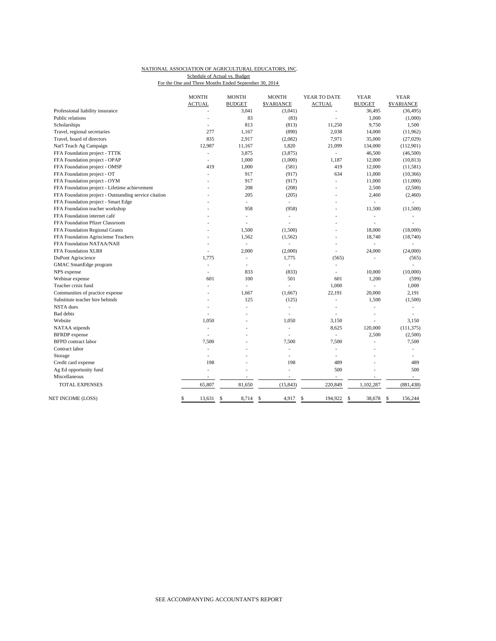## NATIONAL ASSOCIATION OF AGRICULTURAL EDUCATORS, INC. Schedule of Actual vs. Budget

| For the One and Three Months Ended September 30, 2014 |  |  |
|-------------------------------------------------------|--|--|
|-------------------------------------------------------|--|--|

|                                                       | <b>MONTH</b>             | <b>MONTH</b>             | <b>MONTH</b>                | YEAR TO DATE             | <b>YEAR</b>   | <b>YEAR</b>              |
|-------------------------------------------------------|--------------------------|--------------------------|-----------------------------|--------------------------|---------------|--------------------------|
|                                                       | <b>ACTUAL</b>            | <b>BUDGET</b>            | <b>\$VARIANCE</b>           | <b>ACTUAL</b>            | <b>BUDGET</b> | <b>SVARIANCE</b>         |
| Professional liability insurance                      |                          | 3,041                    | (3,041)                     | $\overline{a}$           | 36,495        | (36, 495)                |
| Public relations                                      |                          | 83                       | (83)                        |                          | 1,000         | (1,000)                  |
| Scholarships                                          |                          | 813                      | (813)                       | 11,250                   | 9,750         | 1,500                    |
| Travel, regional secretaries                          | 277                      | 1,167                    | (890)                       | 2,038                    | 14,000        | (11, 962)                |
| Travel, board of directors                            | 835                      | 2,917                    | (2,082)                     | 7,971                    | 35,000        | (27, 029)                |
| Nat'l Teach Ag Campaign                               | 12,987                   | 11,167                   | 1,820                       | 21,099                   | 134,000       | (112,901)                |
| FFA Foundation project - TTTK                         | $\overline{\phantom{a}}$ | 3,875                    | (3,875)                     | L.                       | 46,500        | (46,500)                 |
| FFA Foundation project - OPAP                         | ÷.                       | 1,000                    | (1,000)                     | 1,187                    | 12,000        | (10, 813)                |
| FFA Foundation project - OMSP                         | 419                      | 1,000                    | (581)                       | 419                      | 12,000        | (11, 581)                |
| FFA Foundation project - OT                           | ä,                       | 917                      | (917)                       | 634                      | 11,000        | (10, 366)                |
| FFA Foundation project - OYM                          |                          | 917                      | (917)                       |                          | 11,000        | (11,000)                 |
| FFA Foundation project - Lifetime achievement         |                          | 208                      | (208)                       |                          | 2,500         | (2,500)                  |
| FFA Foundation project - Outstanding service citation |                          | 205                      | (205)                       |                          | 2,460         | (2,460)                  |
| FFA Foundation project - Smart Edge                   |                          | $\overline{\phantom{a}}$ | $\mathcal{L}_{\mathcal{A}}$ | $\overline{\phantom{a}}$ | L,            | ÷,                       |
| FFA Foundation teacher workshop                       |                          | 958                      | (958)                       |                          | 11,500        | (11,500)                 |
| FFA Foundation internet café                          |                          | ÷,                       | ٠                           | $\overline{a}$           |               |                          |
| FFA Foundation Pfizer Classroom                       |                          | ÷,                       | ÷,                          | $\blacksquare$           | ٠             |                          |
| FFA Foundation Regional Grants                        |                          | 1,500                    | (1,500)                     |                          | 18,000        | (18,000)                 |
| FFA Foundation Agrisciense Teachers                   |                          | 1,562                    | (1, 562)                    | $\overline{\phantom{a}}$ | 18,740        | (18,740)                 |
| FFA Foundation NATAA/NAII                             |                          | $\overline{\phantom{a}}$ | L,                          | $\overline{a}$           | $\frac{1}{2}$ | ٠                        |
| FFA Foundation XLR8                                   |                          | 2,000                    | (2,000)                     |                          | 24,000        | (24,000)                 |
| DuPont Agriscience                                    | 1,775                    | ä,                       | 1,775                       | (565)                    |               | (565)                    |
| GMAC SmartEdge program                                | $\overline{\phantom{a}}$ | $\overline{\phantom{a}}$ | ÷,                          |                          |               |                          |
| NPS expense                                           | $\overline{\phantom{a}}$ | 833                      | (833)                       | $\overline{a}$           | 10,000        | (10,000)                 |
| Webinar expense                                       | 601                      | 100                      | 501                         | 601                      | 1,200         | (599)                    |
| Teacher crisis fund                                   | $\overline{a}$           | ÷.                       | L,                          | 1,000                    |               | 1,000                    |
| Communities of practice expense                       |                          | 1,667                    | (1,667)                     | 22,191                   | 20,000        | 2,191                    |
| Substitute teacher hire behinds                       |                          | 125                      | (125)                       |                          | 1,500         | (1,500)                  |
| <b>NSTA</b> dues                                      |                          | ÷,                       | $\overline{a}$              | $\overline{\phantom{a}}$ |               | ÷,                       |
| <b>Bad debts</b>                                      | $\overline{a}$           | ٠                        | i,                          | $\overline{\phantom{a}}$ | ٠             | ٠                        |
| Website                                               | 1,050                    |                          | 1,050                       | 3,150                    |               | 3,150                    |
| NATAA stipends                                        |                          |                          | L,                          | 8,625                    | 120,000       | (111, 375)               |
| <b>BFRDP</b> expense                                  | $\overline{a}$           |                          | L,                          | $\overline{\phantom{a}}$ | 2,500         | (2,500)                  |
| <b>BFPD</b> contract labor                            | 7,500                    |                          | 7,500                       | 7,500                    |               | 7,500                    |
| Contract labor                                        |                          |                          | L.                          | $\overline{a}$           |               | ٠                        |
| Storage                                               | ä,                       |                          | L,                          | ٠                        |               |                          |
| Credit card expense                                   | 198                      |                          | 198                         | 489                      |               | 489                      |
| Ag Ed opportunity fund                                | ä,                       |                          | L,                          | 500                      |               | 500                      |
| Miscellaneous                                         |                          | $\overline{\phantom{a}}$ | $\overline{\phantom{a}}$    | $\overline{\phantom{a}}$ | ٠             | $\overline{\phantom{a}}$ |
| TOTAL EXPENSES                                        | 65,807                   | 81,650                   | (15, 843)                   | 220,849                  | 1,102,287     | (881, 438)               |
|                                                       |                          |                          |                             |                          |               |                          |
| NET INCOME (LOSS)                                     | \$<br>13,631             | 8,714<br>\$              | \$<br>4,917                 | \$<br>194,922            | 38,678<br>\$  | 156,244<br>\$            |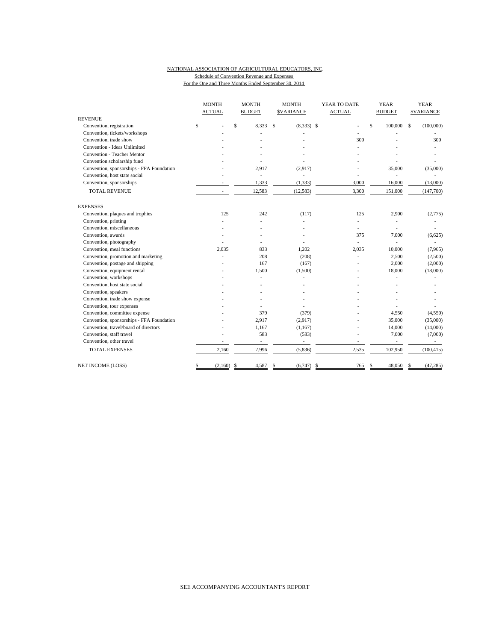### NATIONAL ASSOCIATION OF AGRICULTURAL EDUCATORS, INC. Schedule of Convention Revenue and Expenses For the One and Three Months Ended September 30, 2014

|                                           | <b>MONTH</b>  | <b>MONTH</b>             | <b>MONTH</b>                  | YEAR TO DATE             | <b>YEAR</b>              | <b>YEAR</b>       |
|-------------------------------------------|---------------|--------------------------|-------------------------------|--------------------------|--------------------------|-------------------|
|                                           | <b>ACTUAL</b> | <b>BUDGET</b>            | <b>SVARIANCE</b>              | <b>ACTUAL</b>            | <b>BUDGET</b>            | <b>\$VARIANCE</b> |
| <b>REVENUE</b>                            |               |                          |                               |                          |                          |                   |
| Convention, registration                  | \$            | \$<br>8,333              | <sup>\$</sup><br>$(8,333)$ \$ |                          | \$<br>100,000 \$         | (100,000)         |
| Convention, tickets/workshops             |               |                          |                               |                          |                          |                   |
| Convention, trade show                    |               |                          |                               | 300                      |                          | 300               |
| Convention - Ideas Unlimited              |               |                          |                               |                          |                          |                   |
| Convention - Teacher Mentor               |               |                          |                               |                          |                          |                   |
| Convention scholarship fund               |               |                          |                               |                          |                          |                   |
| Convention, sponsorships - FFA Foundation |               | 2.917                    | (2,917)                       |                          | 35,000                   | (35,000)          |
| Convention, host state social             |               | ÷,                       | ÷,                            | L,                       |                          |                   |
| Convention, sponsorships                  |               | 1,333                    | (1, 333)                      | 3,000                    | 16,000                   | (13,000)          |
| <b>TOTAL REVENUE</b>                      | ٠             | 12,583                   | (12, 583)                     | 3,300                    | 151,000                  | (147,700)         |
| <b>EXPENSES</b>                           |               |                          |                               |                          |                          |                   |
| Convention, plaques and trophies          | 125           | 242                      | (117)                         | 125                      | 2.900                    | (2,775)           |
| Convention, printing                      |               |                          |                               | $\overline{\phantom{0}}$ |                          |                   |
| Convention, miscellaneous                 |               |                          |                               | ÷.                       |                          |                   |
| Convention, awards                        |               |                          |                               | 375                      | 7,000                    | (6,625)           |
| Convention, photography                   |               |                          |                               | ä,                       |                          |                   |
| Convention, meal functions                | 2,035         | 833                      | 1,202                         | 2,035                    | 10,000                   | (7,965)           |
| Convention, promotion and marketing       |               | 208                      | (208)                         | ÷.                       | 2,500                    | (2,500)           |
| Convention, postage and shipping          |               | 167                      | (167)                         |                          | 2,000                    | (2,000)           |
| Convention, equipment rental              |               | 1,500                    | (1,500)                       |                          | 18,000                   | (18,000)          |
| Convention, workshops                     |               |                          |                               |                          |                          |                   |
| Convention, host state social             |               |                          |                               |                          |                          |                   |
| Convention, speakers                      |               |                          |                               |                          |                          |                   |
| Convention, trade show expense            |               |                          |                               |                          |                          |                   |
| Convention, tour expenses                 |               |                          |                               |                          |                          |                   |
| Convention, committee expense             |               | 379                      | (379)                         |                          | 4,550                    | (4,550)           |
| Convention, sponsorships - FFA Foundation |               | 2,917                    | (2,917)                       |                          | 35,000                   | (35,000)          |
| Convention, travel/board of directors     |               | 1,167                    | (1,167)                       |                          | 14,000                   | (14,000)          |
| Convention, staff travel                  |               | 583                      | (583)                         |                          | 7,000                    | (7,000)           |
| Convention, other travel                  |               | $\overline{\phantom{a}}$ | $\overline{\phantom{a}}$      | ÷,                       | $\overline{\phantom{a}}$ |                   |
| <b>TOTAL EXPENSES</b>                     | 2,160         | 7,996                    | (5,836)                       | 2,535                    | 102,950                  | (100, 415)        |
| NET INCOME (LOSS)                         | (2,160)<br>\$ | 4,587<br>-S              | \$<br>(6,747)                 | 765<br>-\$               | 48,050<br>-S             | (47, 285)<br>S    |